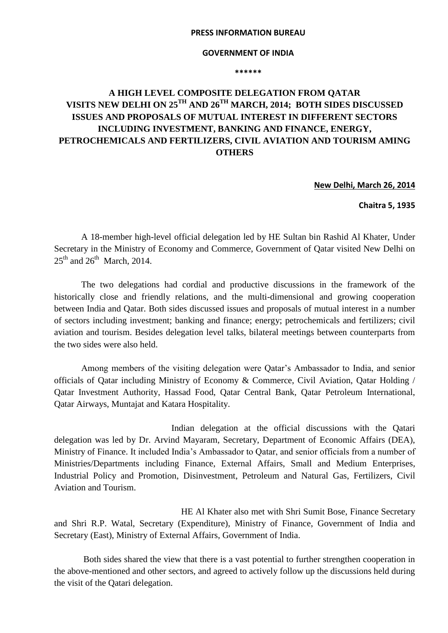## **PRESS INFORMATION BUREAU**

## **GOVERNMENT OF INDIA**

**\*\*\*\*\*\***

## **A HIGH LEVEL COMPOSITE DELEGATION FROM QATAR VISITS NEW DELHI ON 25TH AND 26TH MARCH, 2014; BOTH SIDES DISCUSSED ISSUES AND PROPOSALS OF MUTUAL INTEREST IN DIFFERENT SECTORS INCLUDING INVESTMENT, BANKING AND FINANCE, ENERGY, PETROCHEMICALS AND FERTILIZERS, CIVIL AVIATION AND TOURISM AMING OTHERS**

**New Delhi, March 26, 2014**

**Chaitra 5, 1935**

A 18-member high-level official delegation led by HE Sultan bin Rashid Al Khater, Under Secretary in the Ministry of Economy and Commerce, Government of Qatar visited New Delhi on  $25<sup>th</sup>$  and  $26<sup>th</sup>$  March, 2014.

 The two delegations had cordial and productive discussions in the framework of the historically close and friendly relations, and the multi-dimensional and growing cooperation between India and Qatar. Both sides discussed issues and proposals of mutual interest in a number of sectors including investment; banking and finance; energy; petrochemicals and fertilizers; civil aviation and tourism. Besides delegation level talks, bilateral meetings between counterparts from the two sides were also held.

Among members of the visiting delegation were Qatar's Ambassador to India, and senior officials of Qatar including Ministry of Economy & Commerce, Civil Aviation, Qatar Holding / Qatar Investment Authority, Hassad Food, Qatar Central Bank, Qatar Petroleum International, Qatar Airways, Muntajat and Katara Hospitality.

 Indian delegation at the official discussions with the Qatari delegation was led by Dr. Arvind Mayaram, Secretary, Department of Economic Affairs (DEA), Ministry of Finance. It included India's Ambassador to Qatar, and senior officials from a number of Ministries/Departments including Finance, External Affairs, Small and Medium Enterprises, Industrial Policy and Promotion, Disinvestment, Petroleum and Natural Gas, Fertilizers, Civil Aviation and Tourism.

 HE Al Khater also met with Shri Sumit Bose, Finance Secretary and Shri R.P. Watal, Secretary (Expenditure), Ministry of Finance, Government of India and Secretary (East), Ministry of External Affairs, Government of India.

 Both sides shared the view that there is a vast potential to further strengthen cooperation in the above-mentioned and other sectors, and agreed to actively follow up the discussions held during the visit of the Qatari delegation.